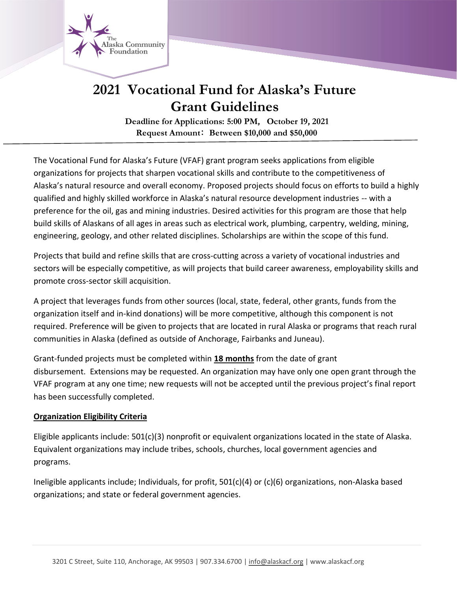

# **2021 Vocational Fund for Alaska's Future Grant Guidelines**

**Deadline for Applications: 5:00 PM**, **October 19**,**2021 Request Amount**: **Between \$10,000 and \$50,000**

The Vocational Fund for Alaska's Future (VFAF) grant program seeks applications from eligible organizations for projects that sharpen vocational skills and contribute to the competitiveness of Alaska's natural resource and overall economy. Proposed projects should focus on efforts to build a highly qualified and highly skilled workforce in Alaska's natural resource development industries -- with a preference for the oil, gas and mining industries. Desired activities for this program are those that help build skills of Alaskans of all ages in areas such as electrical work, plumbing, carpentry, welding, mining, engineering, geology, and other related disciplines. Scholarships are within the scope of this fund.

Projects that build and refine skills that are cross-cutting across a variety of vocational industries and sectors will be especially competitive, as will projects that build career awareness, employability skills and promote cross-sector skill acquisition.

A project that leverages funds from other sources (local, state, federal, other grants, funds from the organization itself and in-kind donations) will be more competitive, although this component is not required. Preference will be given to projects that are located in rural Alaska or programs that reach rural communities in Alaska (defined as outside of Anchorage, Fairbanks and Juneau).

Grant-funded projects must be completed within **18 months** from the date of grant disbursement. Extensions may be requested. An organization may have only one open grant through the VFAF program at any one time; new requests will not be accepted until the previous project's final report has been successfully completed.

# **Organization Eligibility Criteria**

Eligible applicants include: 501(c)(3) nonprofit or equivalent organizations located in the state of Alaska. Equivalent organizations may include tribes, schools, churches, local government agencies and programs.

Ineligible applicants include; Individuals, for profit, 501(c)(4) or (c)(6) organizations, non-Alaska based organizations; and state or federal government agencies.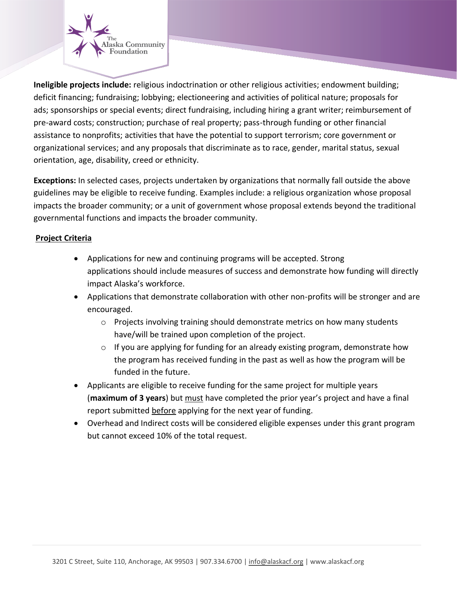

**Ineligible projects include:** religious indoctrination or other religious activities; endowment building; deficit financing; fundraising; lobbying; electioneering and activities of political nature; proposals for ads; sponsorships or special events; direct fundraising, including hiring a grant writer; reimbursement of pre-award costs; construction; purchase of real property; pass-through funding or other financial assistance to nonprofits; activities that have the potential to support terrorism; core government or organizational services; and any proposals that discriminate as to race, gender, marital status, sexual orientation, age, disability, creed or ethnicity.

**Exceptions:** In selected cases, projects undertaken by organizations that normally fall outside the above guidelines may be eligible to receive funding. Examples include: a religious organization whose proposal impacts the broader community; or a unit of government whose proposal extends beyond the traditional governmental functions and impacts the broader community.

# **Project Criteria**

- Applications for new and continuing programs will be accepted. Strong applications should include measures of success and demonstrate how funding will directly impact Alaska's workforce.
- Applications that demonstrate collaboration with other non-profits will be stronger and are encouraged.
	- o Projects involving training should demonstrate metrics on how many students have/will be trained upon completion of the project.
	- $\circ$  If you are applying for funding for an already existing program, demonstrate how the program has received funding in the past as well as how the program will be funded in the future.
- Applicants are eligible to receive funding for the same project for multiple years (**maximum of 3 years**) but must have completed the prior year's project and have a final report submitted before applying for the next year of funding.
- Overhead and Indirect costs will be considered eligible expenses under this grant program but cannot exceed 10% of the total request.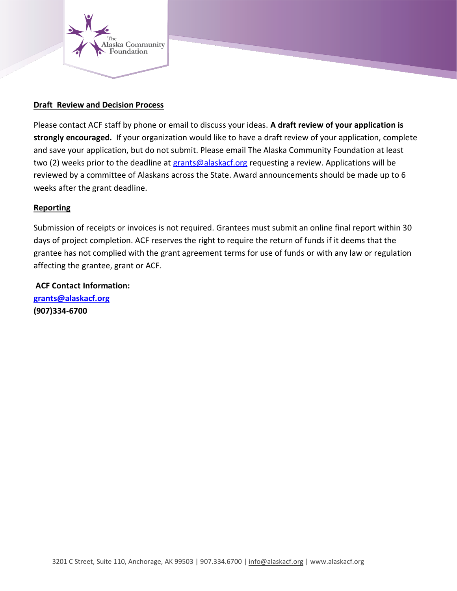

### **Draft Review and Decision Process**

Please contact ACF staff by phone or email to discuss your ideas. **A draft review of your application is strongly encouraged.** If your organization would like to have a draft review of your application, complete and save your application, but do not submit. Please email The Alaska Community Foundation at least two (2) weeks prior to the deadline at [grants@alaskacf.org](mailto:grants@alaskacf.org) requesting a review. Applications will be reviewed by a committee of Alaskans across the State. Award announcements should be made up to 6 weeks after the grant deadline.

# **Reporting**

Submission of receipts or invoices is not required. Grantees must submit an online final report within 30 days of project completion. ACF reserves the right to require the return of funds if it deems that the grantee has not complied with the grant agreement terms for use of funds or with any law or regulation affecting the grantee, grant or ACF.

**ACF Contact Information: [grants@alaskacf.org](mailto:grants@alaskacf.org) (907)334-6700**